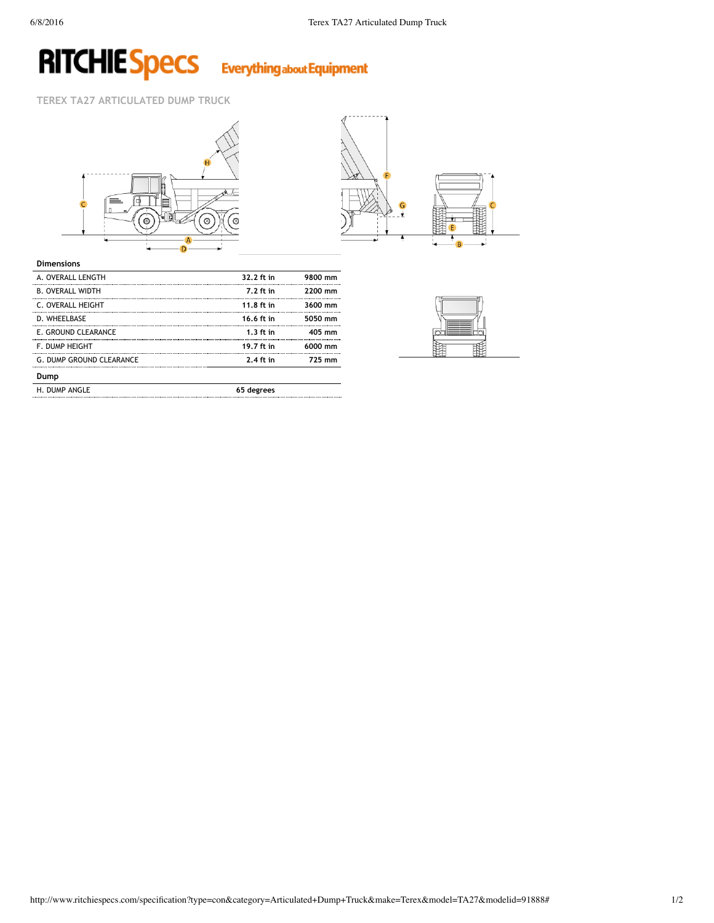## **RITCHIE Specs** Everything about Equipment

**TEREX TA27 ARTICULATED DUMP TRUCK**





### **Dimensions**

| A. OVERALL LENGTH               | 32.2 ft in  | 9800 mm  |
|---------------------------------|-------------|----------|
| <b>B. OVERALL WIDTH</b>         | 7.2 ft in   | 2200 mm  |
| C. OVERALL HEIGHT               | 11.8 ft in  | 3600 mm  |
| D. WHEELBASE                    | 16.6 ft in  | 5050 mm  |
| E. GROUND CLEARANCE             | $1.3$ ft in | $405$ mm |
| F. DUMP HEIGHT                  | 19.7 ft in  | 6000 mm  |
| <b>G. DUMP GROUND CLEARANCE</b> | $2.4$ ft in | 725 mm   |
| Dump                            |             |          |
| H. DUMP ANGLE                   | 65 degrees  |          |